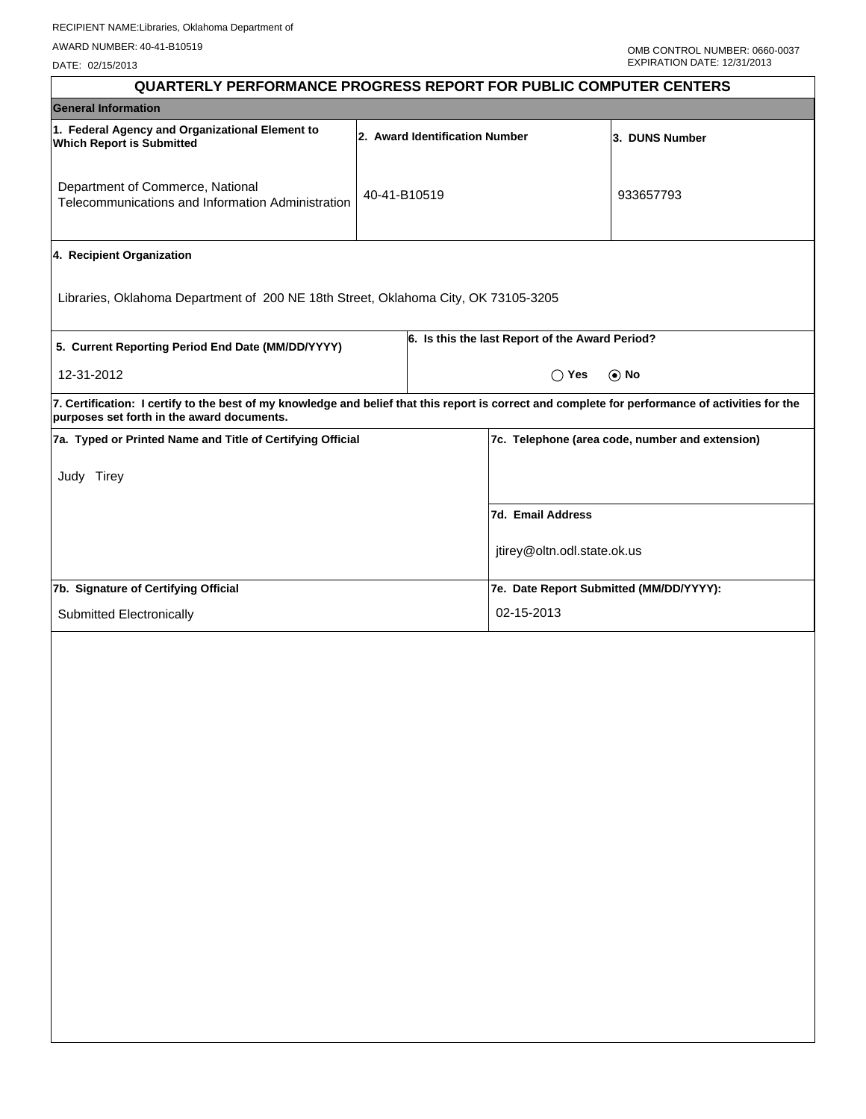DATE: 02/15/2013

| <b>QUARTERLY PERFORMANCE PROGRESS REPORT FOR PUBLIC COMPUTER CENTERS</b>                                                                                                                        |              |                                |                                                 |                                                 |
|-------------------------------------------------------------------------------------------------------------------------------------------------------------------------------------------------|--------------|--------------------------------|-------------------------------------------------|-------------------------------------------------|
| <b>General Information</b>                                                                                                                                                                      |              |                                |                                                 |                                                 |
| 1. Federal Agency and Organizational Element to<br><b>Which Report is Submitted</b>                                                                                                             |              | 2. Award Identification Number |                                                 | 3. DUNS Number                                  |
| Department of Commerce, National<br>Telecommunications and Information Administration                                                                                                           | 40-41-B10519 |                                |                                                 | 933657793                                       |
| 4. Recipient Organization                                                                                                                                                                       |              |                                |                                                 |                                                 |
| Libraries, Oklahoma Department of 200 NE 18th Street, Oklahoma City, OK 73105-3205                                                                                                              |              |                                |                                                 |                                                 |
| 5. Current Reporting Period End Date (MM/DD/YYYY)                                                                                                                                               |              |                                | 6. Is this the last Report of the Award Period? |                                                 |
| 12-31-2012                                                                                                                                                                                      |              |                                | $\bigcirc$ Yes                                  | $\odot$ No                                      |
| 7. Certification: I certify to the best of my knowledge and belief that this report is correct and complete for performance of activities for the<br>purposes set forth in the award documents. |              |                                |                                                 |                                                 |
| 7a. Typed or Printed Name and Title of Certifying Official                                                                                                                                      |              |                                |                                                 | 7c. Telephone (area code, number and extension) |
| Judy Tirey                                                                                                                                                                                      |              |                                |                                                 |                                                 |
|                                                                                                                                                                                                 |              |                                | 7d. Email Address                               |                                                 |
|                                                                                                                                                                                                 |              |                                | jtirey@oltn.odl.state.ok.us                     |                                                 |
| 7b. Signature of Certifying Official                                                                                                                                                            |              |                                | 7e. Date Report Submitted (MM/DD/YYYY):         |                                                 |
| Submitted Electronically                                                                                                                                                                        |              |                                | 02-15-2013                                      |                                                 |
|                                                                                                                                                                                                 |              |                                |                                                 |                                                 |
|                                                                                                                                                                                                 |              |                                |                                                 |                                                 |
|                                                                                                                                                                                                 |              |                                |                                                 |                                                 |
|                                                                                                                                                                                                 |              |                                |                                                 |                                                 |
|                                                                                                                                                                                                 |              |                                |                                                 |                                                 |
|                                                                                                                                                                                                 |              |                                |                                                 |                                                 |
|                                                                                                                                                                                                 |              |                                |                                                 |                                                 |
|                                                                                                                                                                                                 |              |                                |                                                 |                                                 |
|                                                                                                                                                                                                 |              |                                |                                                 |                                                 |
|                                                                                                                                                                                                 |              |                                |                                                 |                                                 |
|                                                                                                                                                                                                 |              |                                |                                                 |                                                 |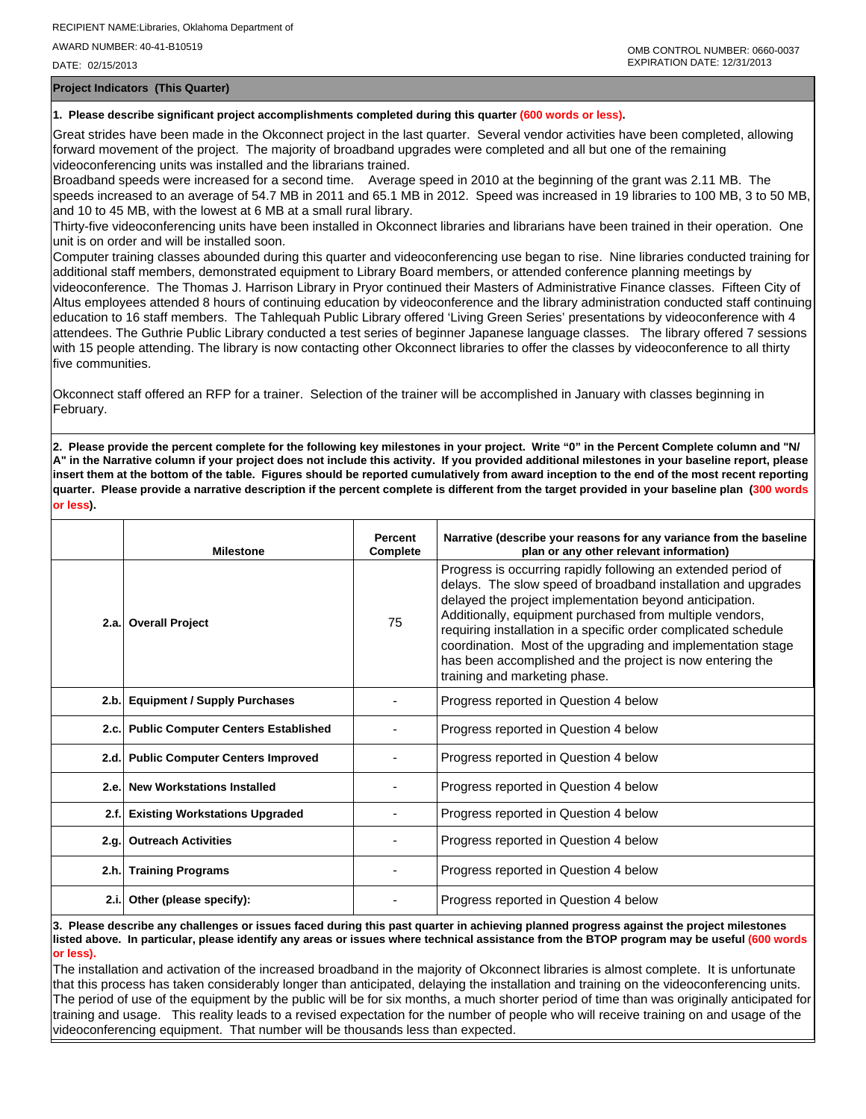DATE: 02/15/2013

**Project Indicators (This Quarter)**

## **1. Please describe significant project accomplishments completed during this quarter (600 words or less).**

Great strides have been made in the Okconnect project in the last quarter. Several vendor activities have been completed, allowing forward movement of the project. The majority of broadband upgrades were completed and all but one of the remaining videoconferencing units was installed and the librarians trained.

Broadband speeds were increased for a second time. Average speed in 2010 at the beginning of the grant was 2.11 MB. The speeds increased to an average of 54.7 MB in 2011 and 65.1 MB in 2012. Speed was increased in 19 libraries to 100 MB, 3 to 50 MB, and 10 to 45 MB, with the lowest at 6 MB at a small rural library.

Thirty-five videoconferencing units have been installed in Okconnect libraries and librarians have been trained in their operation. One unit is on order and will be installed soon.

Computer training classes abounded during this quarter and videoconferencing use began to rise. Nine libraries conducted training for additional staff members, demonstrated equipment to Library Board members, or attended conference planning meetings by videoconference. The Thomas J. Harrison Library in Pryor continued their Masters of Administrative Finance classes. Fifteen City of Altus employees attended 8 hours of continuing education by videoconference and the library administration conducted staff continuing education to 16 staff members. The Tahlequah Public Library offered 'Living Green Series' presentations by videoconference with 4 attendees. The Guthrie Public Library conducted a test series of beginner Japanese language classes. The library offered 7 sessions with 15 people attending. The library is now contacting other Okconnect libraries to offer the classes by videoconference to all thirty five communities.

Okconnect staff offered an RFP for a trainer. Selection of the trainer will be accomplished in January with classes beginning in February.

**2. Please provide the percent complete for the following key milestones in your project. Write "0" in the Percent Complete column and "N/ A" in the Narrative column if your project does not include this activity. If you provided additional milestones in your baseline report, please insert them at the bottom of the table. Figures should be reported cumulatively from award inception to the end of the most recent reporting quarter. Please provide a narrative description if the percent complete is different from the target provided in your baseline plan (300 words or less).**

|      | <b>Milestone</b>                         | Percent<br>Complete | Narrative (describe your reasons for any variance from the baseline<br>plan or any other relevant information)                                                                                                                                                                                                                                                                                                                                                                         |
|------|------------------------------------------|---------------------|----------------------------------------------------------------------------------------------------------------------------------------------------------------------------------------------------------------------------------------------------------------------------------------------------------------------------------------------------------------------------------------------------------------------------------------------------------------------------------------|
|      | 2.a. Overall Project                     | 75                  | Progress is occurring rapidly following an extended period of<br>delays. The slow speed of broadband installation and upgrades<br>delayed the project implementation beyond anticipation.<br>Additionally, equipment purchased from multiple vendors,<br>requiring installation in a specific order complicated schedule<br>coordination. Most of the upgrading and implementation stage<br>has been accomplished and the project is now entering the<br>training and marketing phase. |
|      | 2.b. Equipment / Supply Purchases        |                     | Progress reported in Question 4 below                                                                                                                                                                                                                                                                                                                                                                                                                                                  |
|      | 2.c. Public Computer Centers Established |                     | Progress reported in Question 4 below                                                                                                                                                                                                                                                                                                                                                                                                                                                  |
|      | 2.d. Public Computer Centers Improved    |                     | Progress reported in Question 4 below                                                                                                                                                                                                                                                                                                                                                                                                                                                  |
| 2.e. | <b>New Workstations Installed</b>        |                     | Progress reported in Question 4 below                                                                                                                                                                                                                                                                                                                                                                                                                                                  |
| 2.f. | <b>Existing Workstations Upgraded</b>    |                     | Progress reported in Question 4 below                                                                                                                                                                                                                                                                                                                                                                                                                                                  |
| 2.q. | <b>Outreach Activities</b>               |                     | Progress reported in Question 4 below                                                                                                                                                                                                                                                                                                                                                                                                                                                  |
| 2.h. | <b>Training Programs</b>                 |                     | Progress reported in Question 4 below                                                                                                                                                                                                                                                                                                                                                                                                                                                  |
| 2.i. | Other (please specify):                  |                     | Progress reported in Question 4 below                                                                                                                                                                                                                                                                                                                                                                                                                                                  |

**3. Please describe any challenges or issues faced during this past quarter in achieving planned progress against the project milestones listed above. In particular, please identify any areas or issues where technical assistance from the BTOP program may be useful (600 words or less).**

The installation and activation of the increased broadband in the majority of Okconnect libraries is almost complete. It is unfortunate that this process has taken considerably longer than anticipated, delaying the installation and training on the videoconferencing units. The period of use of the equipment by the public will be for six months, a much shorter period of time than was originally anticipated for training and usage. This reality leads to a revised expectation for the number of people who will receive training on and usage of the videoconferencing equipment. That number will be thousands less than expected.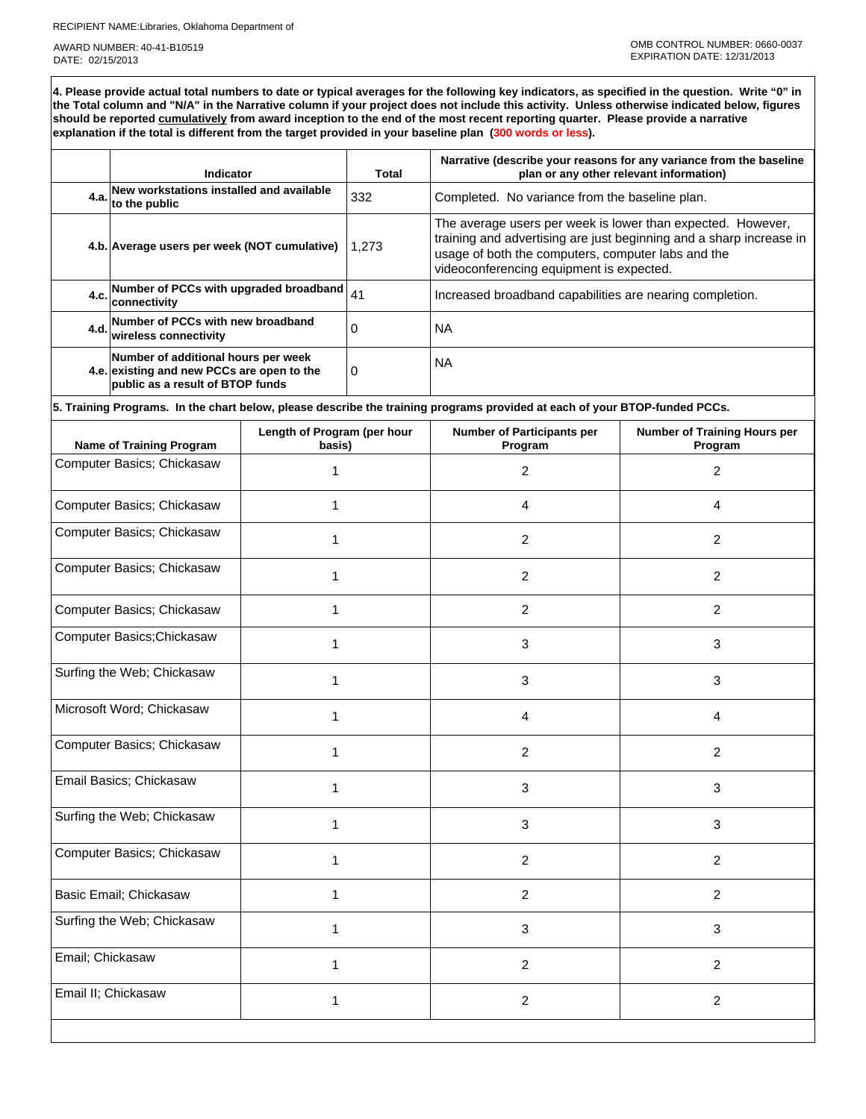RECIPIENT NAME:Libraries, Oklahoma Department of

AWARD NUMBER: 40-41-B10519 DATE: 02/15/2013

**4. Please provide actual total numbers to date or typical averages for the following key indicators, as specified in the question. Write "0" in the Total column and "N/A" in the Narrative column if your project does not include this activity. Unless otherwise indicated below, figures should be reported cumulatively from award inception to the end of the most recent reporting quarter. Please provide a narrative explanation if the total is different from the target provided in your baseline plan (300 words or less).** 

|      | Indicator                                                                                                             | Total | Narrative (describe your reasons for any variance from the baseline<br>plan or any other relevant information)                                                                                                                       |
|------|-----------------------------------------------------------------------------------------------------------------------|-------|--------------------------------------------------------------------------------------------------------------------------------------------------------------------------------------------------------------------------------------|
| 4.a. | New workstations installed and available<br>to the public                                                             | 332   | Completed. No variance from the baseline plan.                                                                                                                                                                                       |
|      | 4.b. Average users per week (NOT cumulative)                                                                          | 1.273 | The average users per week is lower than expected. However,<br>training and advertising are just beginning and a sharp increase in<br>usage of both the computers, computer labs and the<br>videoconferencing equipment is expected. |
| 4.c. | Number of PCCs with upgraded broadband<br>connectivity                                                                | 41    | Increased broadband capabilities are nearing completion.                                                                                                                                                                             |
|      | 4.d. Number of PCCs with new broadband<br>wireless connectivity                                                       | 0     | <b>NA</b>                                                                                                                                                                                                                            |
|      | Number of additional hours per week<br>4.e. existing and new PCCs are open to the<br>public as a result of BTOP funds | 0     | <b>NA</b>                                                                                                                                                                                                                            |

**5. Training Programs. In the chart below, please describe the training programs provided at each of your BTOP-funded PCCs.**

| <b>Name of Training Program</b> | Length of Program (per hour<br>basis) | <b>Number of Participants per</b><br>Program | <b>Number of Training Hours per</b><br>Program |
|---------------------------------|---------------------------------------|----------------------------------------------|------------------------------------------------|
| Computer Basics; Chickasaw      | 1                                     | 2                                            | $\overline{2}$                                 |
| Computer Basics; Chickasaw      | 1                                     | 4                                            | $\overline{4}$                                 |
| Computer Basics; Chickasaw      | 1                                     | 2                                            | $\overline{2}$                                 |
| Computer Basics; Chickasaw      | 1                                     | $\overline{c}$                               | $\overline{2}$                                 |
| Computer Basics; Chickasaw      | 1                                     | $\overline{2}$                               | $\overline{2}$                                 |
| Computer Basics; Chickasaw      | 1                                     | 3                                            | $\mathbf{3}$                                   |
| Surfing the Web; Chickasaw      | 1                                     | 3                                            | 3                                              |
| Microsoft Word; Chickasaw       | 1                                     | 4                                            | $\overline{4}$                                 |
| Computer Basics; Chickasaw      | 1                                     | 2                                            | $\overline{2}$                                 |
| Email Basics; Chickasaw         | 1                                     | 3                                            | 3                                              |
| Surfing the Web; Chickasaw      | 1                                     | 3                                            | $\mathbf{3}$                                   |
| Computer Basics; Chickasaw      | 1                                     | $\overline{2}$                               | $\overline{2}$                                 |
| Basic Email; Chickasaw          | $\mathbf{1}$                          | $\overline{c}$                               | $\overline{2}$                                 |
| Surfing the Web; Chickasaw      | 1                                     | 3                                            | $\mathbf{3}$                                   |
| Email; Chickasaw                | 1                                     | $\overline{2}$                               | $\overline{2}$                                 |
| Email II; Chickasaw             | 1                                     | 2                                            | $\overline{2}$                                 |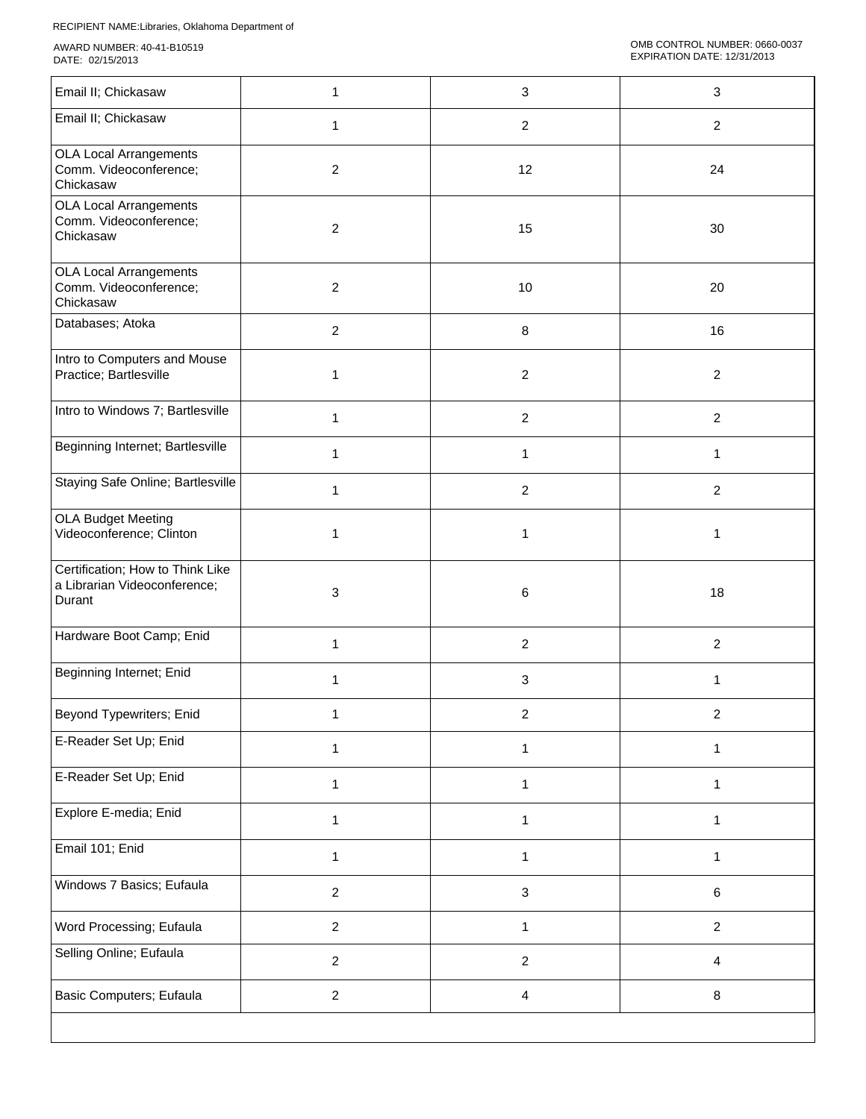| Email II; Chickasaw                                                        | 1                | 3                       | $\mathbf{3}$   |
|----------------------------------------------------------------------------|------------------|-------------------------|----------------|
| Email II; Chickasaw                                                        | 1                | $\overline{c}$          | $\overline{a}$ |
| <b>OLA Local Arrangements</b><br>Comm. Videoconference;<br>Chickasaw       | $\overline{2}$   | 12                      | 24             |
| <b>OLA Local Arrangements</b><br>Comm. Videoconference;<br>Chickasaw       | $\overline{c}$   | 15                      | 30             |
| <b>OLA Local Arrangements</b><br>Comm. Videoconference;<br>Chickasaw       | $\overline{c}$   | 10                      | 20             |
| Databases; Atoka                                                           | $\boldsymbol{2}$ | 8                       | 16             |
| Intro to Computers and Mouse<br>Practice; Bartlesville                     | 1                | $\overline{c}$          | $\overline{2}$ |
| Intro to Windows 7; Bartlesville                                           | 1                | $\overline{c}$          | $\overline{2}$ |
| Beginning Internet; Bartlesville                                           | 1                | 1                       | 1              |
| Staying Safe Online; Bartlesville                                          | 1                | $\overline{\mathbf{c}}$ | $\overline{c}$ |
| <b>OLA Budget Meeting</b><br>Videoconference; Clinton                      | 1                | $\mathbf{1}$            | 1              |
| Certification; How to Think Like<br>a Librarian Videoconference;<br>Durant | 3                | 6                       | 18             |
| Hardware Boot Camp; Enid                                                   | 1                | $\overline{\mathbf{c}}$ | $\overline{c}$ |
| Beginning Internet; Enid                                                   | 1                | 3                       | 1              |
| Beyond Typewriters; Enid                                                   | 1                | $\overline{\mathbf{c}}$ | 2              |
| E-Reader Set Up; Enid                                                      | 1                | 1                       | 1              |
| E-Reader Set Up; Enid                                                      | 1                | $\mathbf{1}$            | 1              |
| Explore E-media; Enid                                                      | 1                | $\mathbf{1}$            | 1              |
| Email 101; Enid                                                            | 1                | $\mathbf{1}$            | 1              |
| Windows 7 Basics; Eufaula                                                  | $\overline{2}$   | 3                       | 6              |
| Word Processing; Eufaula                                                   | $\overline{a}$   | 1                       | $\overline{a}$ |
| Selling Online; Eufaula                                                    | $\overline{a}$   | $\overline{c}$          | 4              |
| <b>Basic Computers; Eufaula</b>                                            | $\overline{a}$   | 4                       | 8              |
|                                                                            |                  |                         |                |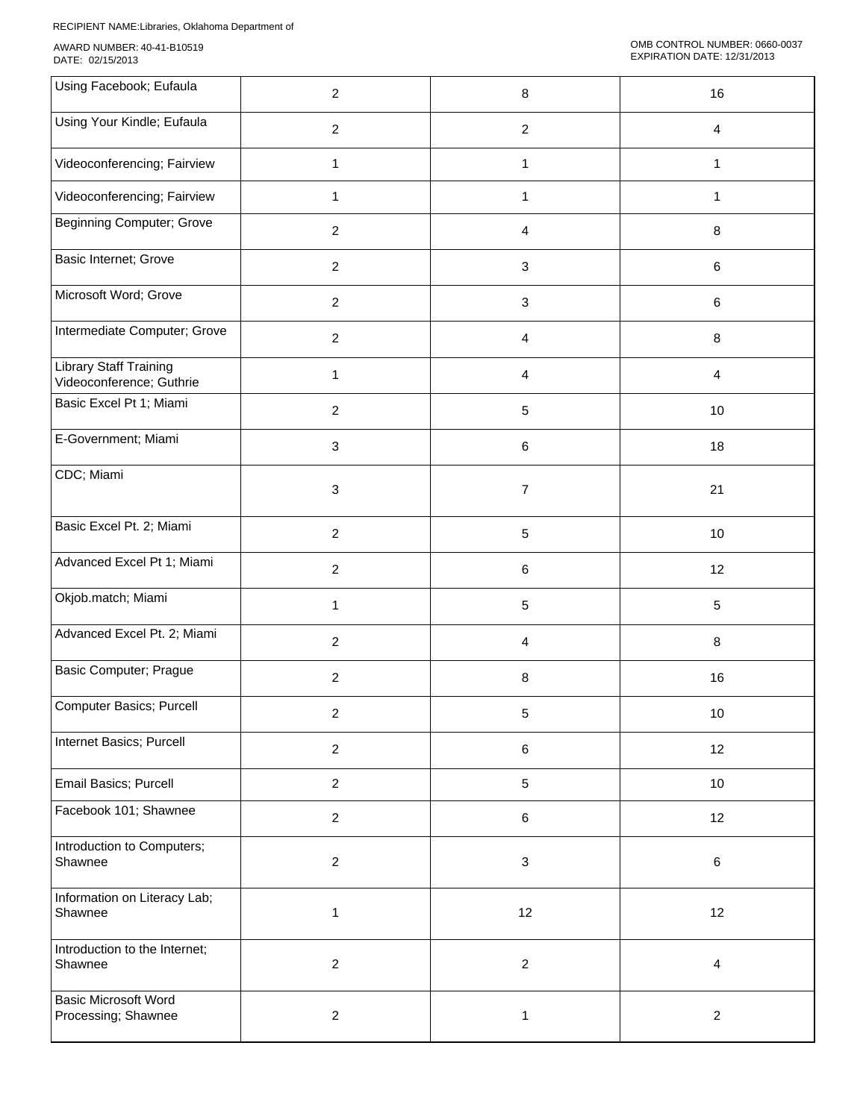| Using Facebook; Eufaula                                   | $\overline{2}$ | $\,8\,$                   | 16              |
|-----------------------------------------------------------|----------------|---------------------------|-----------------|
| Using Your Kindle; Eufaula                                | $\overline{2}$ | 2                         | $\overline{4}$  |
| Videoconferencing; Fairview                               | 1              | 1                         | $\mathbf{1}$    |
| Videoconferencing; Fairview                               | 1              | 1                         | $\mathbf{1}$    |
| <b>Beginning Computer; Grove</b>                          | $\overline{a}$ | $\overline{4}$            | 8               |
| Basic Internet; Grove                                     | $\overline{2}$ | 3                         | 6               |
| Microsoft Word; Grove                                     | $\overline{2}$ | $\mathbf{3}$              | 6               |
| Intermediate Computer; Grove                              | $\overline{2}$ | $\overline{4}$            | $\,8\,$         |
| <b>Library Staff Training</b><br>Videoconference; Guthrie | 1              | 4                         | 4               |
| Basic Excel Pt 1; Miami                                   | $\overline{c}$ | 5                         | 10              |
| E-Government; Miami                                       | 3              | $\,6\,$                   | 18              |
| CDC; Miami                                                | 3              | $\overline{7}$            | 21              |
| Basic Excel Pt. 2; Miami                                  | $\overline{a}$ | $\sqrt{5}$                | 10              |
| Advanced Excel Pt 1; Miami                                | $\overline{a}$ | $\,6\,$                   | 12              |
| Okjob.match; Miami                                        | 1              | $\sqrt{5}$                | $5\phantom{.0}$ |
| Advanced Excel Pt. 2; Miami                               | $\overline{2}$ | 4                         | $\,8\,$         |
| <b>Basic Computer; Prague</b>                             | $\overline{2}$ | $\, 8$                    | 16              |
| Computer Basics; Purcell                                  | $\mathbf{2}$   | 5                         | 10              |
| Internet Basics; Purcell                                  | $\overline{a}$ | $\,6$                     | 12              |
| Email Basics; Purcell                                     | $\overline{2}$ | $\overline{5}$            | 10              |
| Facebook 101; Shawnee                                     | $\overline{2}$ | $\,6\,$                   | 12              |
| Introduction to Computers;<br>Shawnee                     | $\overline{a}$ | $\ensuremath{\mathsf{3}}$ | 6               |
| Information on Literacy Lab;<br>Shawnee                   | $\mathbf{1}$   | 12                        | 12              |
| Introduction to the Internet;<br>Shawnee                  | $\overline{a}$ | $\boldsymbol{2}$          | $\overline{4}$  |
| <b>Basic Microsoft Word</b><br>Processing; Shawnee        | $\overline{a}$ | $\mathbf{1}$              | $\overline{2}$  |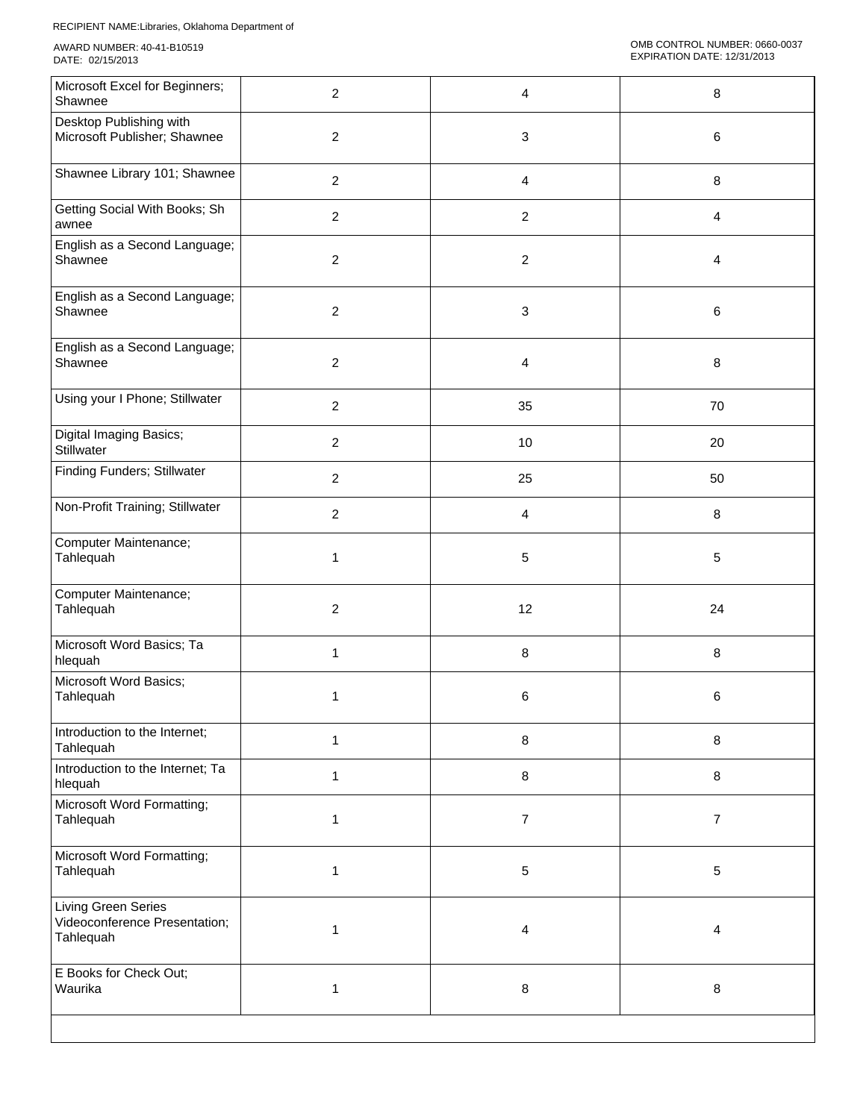| Microsoft Excel for Beginners;<br>Shawnee                         | $\overline{c}$ | 4                         | 8              |
|-------------------------------------------------------------------|----------------|---------------------------|----------------|
| Desktop Publishing with<br>Microsoft Publisher; Shawnee           | $\overline{2}$ | 3                         | 6              |
| Shawnee Library 101; Shawnee                                      | $\overline{2}$ | 4                         | 8              |
| Getting Social With Books; Sh<br>awnee                            | $\overline{c}$ | $\boldsymbol{2}$          | 4              |
| English as a Second Language;<br>Shawnee                          | $\overline{2}$ | $\overline{c}$            | 4              |
| English as a Second Language;<br>Shawnee                          | $\overline{c}$ | $\ensuremath{\mathsf{3}}$ | 6              |
| English as a Second Language;<br>Shawnee                          | $\overline{c}$ | 4                         | 8              |
| Using your I Phone; Stillwater                                    | $\overline{2}$ | 35                        | 70             |
| Digital Imaging Basics;<br>Stillwater                             | $\overline{c}$ | $10$                      | 20             |
| <b>Finding Funders; Stillwater</b>                                | $\overline{c}$ | 25                        | 50             |
| Non-Profit Training; Stillwater                                   | $\overline{2}$ | 4                         | 8              |
| Computer Maintenance;<br>Tahlequah                                | 1              | 5                         | 5              |
| Computer Maintenance;<br>Tahlequah                                | $\overline{2}$ | 12                        | 24             |
| Microsoft Word Basics; Ta<br>hlequah                              | 1              | 8                         | $\bf 8$        |
| Microsoft Word Basics;<br>Tahlequah                               | 1              | 6                         | 6              |
| Introduction to the Internet;<br>Tahlequah                        | 1              | 8                         | 8              |
| Introduction to the Internet; Ta<br>hlequah                       | 1              | $\,8\,$                   | 8              |
| Microsoft Word Formatting;<br>Tahlequah                           | 1              | $\overline{7}$            | $\overline{7}$ |
| Microsoft Word Formatting;<br>Tahlequah                           | 1              | 5                         | 5              |
| Living Green Series<br>Videoconference Presentation;<br>Tahlequah | $\mathbf{1}$   | 4                         | 4              |
| E Books for Check Out;<br>Waurika                                 | 1              | 8                         | $\,8\,$        |
|                                                                   |                |                           |                |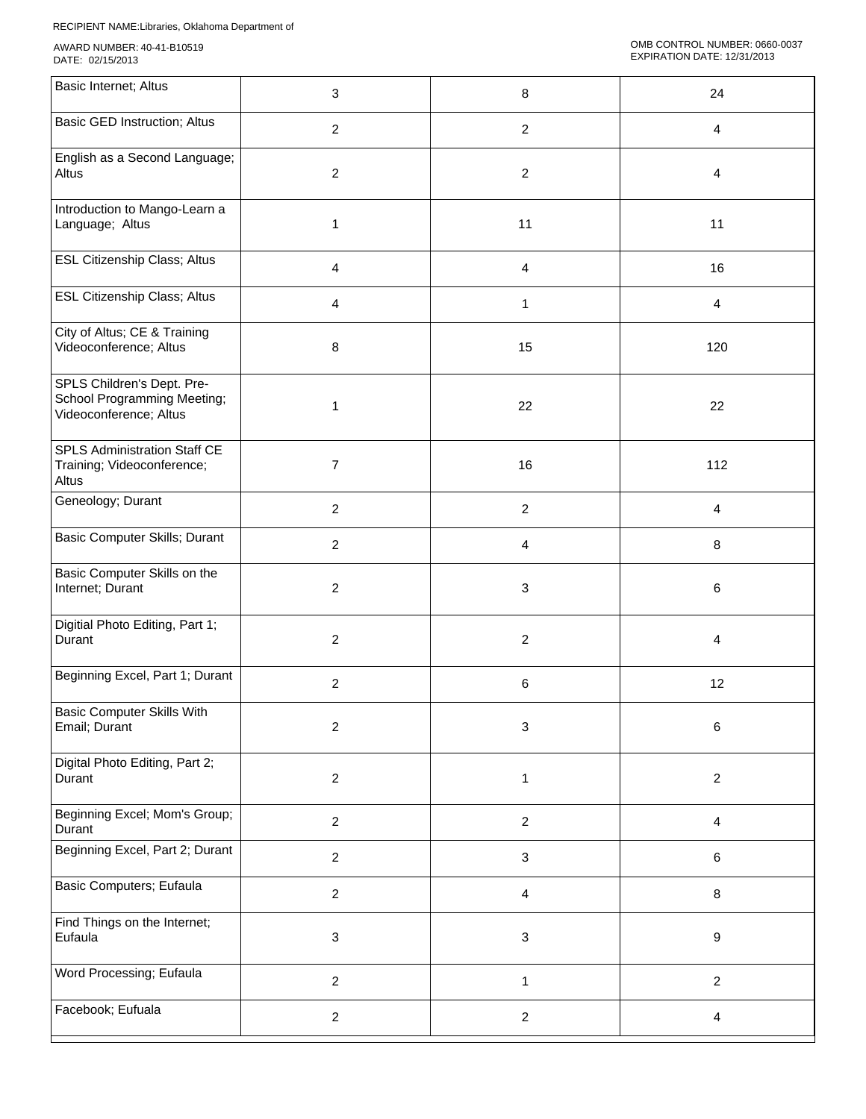| Basic Internet; Altus                                                               | 3              | 8                         | 24                      |
|-------------------------------------------------------------------------------------|----------------|---------------------------|-------------------------|
| <b>Basic GED Instruction; Altus</b>                                                 | $\overline{2}$ | $\overline{c}$            | $\overline{4}$          |
| English as a Second Language;<br>Altus                                              | $\overline{2}$ | $\overline{2}$            | 4                       |
| Introduction to Mango-Learn a<br>Language; Altus                                    | 1              | 11                        | 11                      |
| <b>ESL Citizenship Class; Altus</b>                                                 | $\overline{4}$ | $\overline{4}$            | 16                      |
| <b>ESL Citizenship Class; Altus</b>                                                 | 4              | $\mathbf{1}$              | $\overline{4}$          |
| City of Altus; CE & Training<br>Videoconference; Altus                              | 8              | 15                        | 120                     |
| SPLS Children's Dept. Pre-<br>School Programming Meeting;<br>Videoconference; Altus | 1              | 22                        | 22                      |
| SPLS Administration Staff CE<br>Training; Videoconference;<br>Altus                 | $\overline{7}$ | 16                        | 112                     |
| Geneology; Durant                                                                   | $\overline{2}$ | $\overline{c}$            | 4                       |
| Basic Computer Skills; Durant                                                       | $\overline{c}$ | $\overline{\mathbf{4}}$   | $\bf 8$                 |
| Basic Computer Skills on the<br>Internet; Durant                                    | $\overline{c}$ | $\mathbf{3}$              | $\,6\,$                 |
| Digitial Photo Editing, Part 1;<br>Durant                                           | $\overline{c}$ | $\overline{c}$            | $\overline{4}$          |
| Beginning Excel, Part 1; Durant                                                     | $\overline{2}$ | 6                         | 12                      |
| <b>Basic Computer Skills With</b><br>Email; Durant                                  | $\overline{2}$ | $\ensuremath{\mathsf{3}}$ | $\,6\,$                 |
| Digital Photo Editing, Part 2;<br>Durant                                            | $\overline{c}$ | $\mathbf{1}$              | $\overline{2}$          |
| Beginning Excel; Mom's Group;<br>Durant                                             | $\overline{c}$ | $\overline{c}$            | $\overline{\mathbf{4}}$ |
| Beginning Excel, Part 2; Durant                                                     | $\overline{c}$ | $\ensuremath{\mathsf{3}}$ | $\,6\,$                 |
| <b>Basic Computers; Eufaula</b>                                                     | $\overline{c}$ | $\overline{4}$            | $\bf 8$                 |
| Find Things on the Internet;<br>Eufaula                                             | 3              | $\mathfrak{S}$            | $\boldsymbol{9}$        |
| Word Processing; Eufaula                                                            | $\overline{2}$ | $\mathbf{1}$              | $\overline{2}$          |
| Facebook; Eufuala                                                                   | $\overline{c}$ | $\overline{2}$            | $\overline{4}$          |
|                                                                                     |                |                           |                         |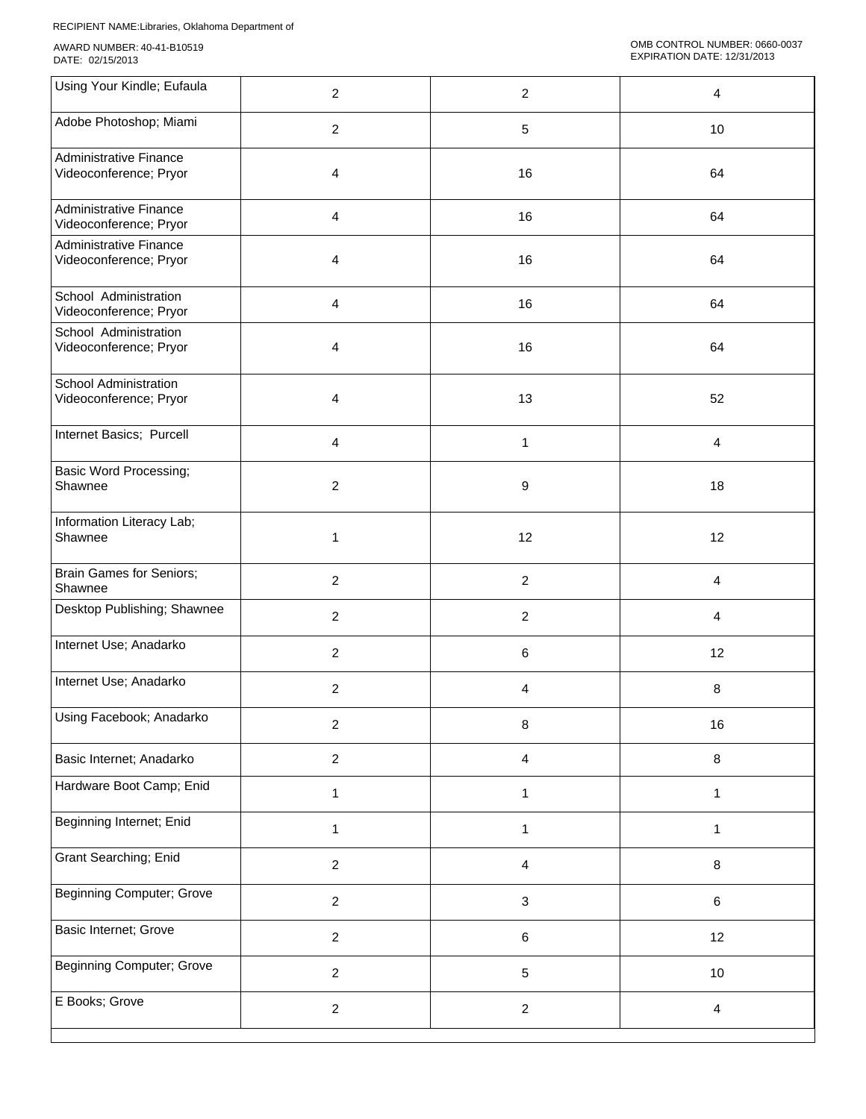| Using Your Kindle; Eufaula                              | $\boldsymbol{2}$ | $\boldsymbol{2}$ | 4                       |
|---------------------------------------------------------|------------------|------------------|-------------------------|
| Adobe Photoshop; Miami                                  | $\overline{2}$   | $\sqrt{5}$       | 10                      |
| <b>Administrative Finance</b><br>Videoconference; Pryor | 4                | 16               | 64                      |
| <b>Administrative Finance</b><br>Videoconference; Pryor | 4                | 16               | 64                      |
| <b>Administrative Finance</b><br>Videoconference; Pryor | 4                | 16               | 64                      |
| School Administration<br>Videoconference; Pryor         | $\overline{4}$   | 16               | 64                      |
| School Administration<br>Videoconference; Pryor         | 4                | 16               | 64                      |
| School Administration<br>Videoconference; Pryor         | 4                | 13               | 52                      |
| Internet Basics; Purcell                                | 4                | $\mathbf{1}$     | 4                       |
| <b>Basic Word Processing;</b><br>Shawnee                | 2                | 9                | 18                      |
| Information Literacy Lab;<br>Shawnee                    | 1                | 12               | 12                      |
| <b>Brain Games for Seniors;</b><br>Shawnee              | $\overline{c}$   | $\overline{c}$   | $\overline{\mathbf{4}}$ |
| Desktop Publishing; Shawnee                             | $\overline{2}$   | $\overline{2}$   | $\overline{4}$          |
| Internet Use; Anadarko                                  | $\overline{2}$   | 6                | 12                      |
| Internet Use; Anadarko                                  | 2                | 4                | 8                       |
| Using Facebook; Anadarko                                | $\overline{c}$   | 8                | 16                      |
| Basic Internet; Anadarko                                | $\overline{a}$   | 4                | 8                       |
| Hardware Boot Camp; Enid                                | 1                | $\mathbf{1}$     | $\mathbf{1}$            |
| Beginning Internet; Enid                                | $\mathbf{1}$     | $\mathbf{1}$     | $\mathbf{1}$            |
| Grant Searching; Enid                                   | $\overline{2}$   | 4                | 8                       |
| <b>Beginning Computer; Grove</b>                        | $\overline{2}$   | $\mathbf{3}$     | 6                       |
| Basic Internet; Grove                                   | $\overline{2}$   | $\,6\,$          | 12                      |
| <b>Beginning Computer; Grove</b>                        | $\overline{a}$   | $\sqrt{5}$       | 10                      |
| E Books; Grove                                          | $\overline{c}$   | $\boldsymbol{2}$ | $\overline{\mathbf{4}}$ |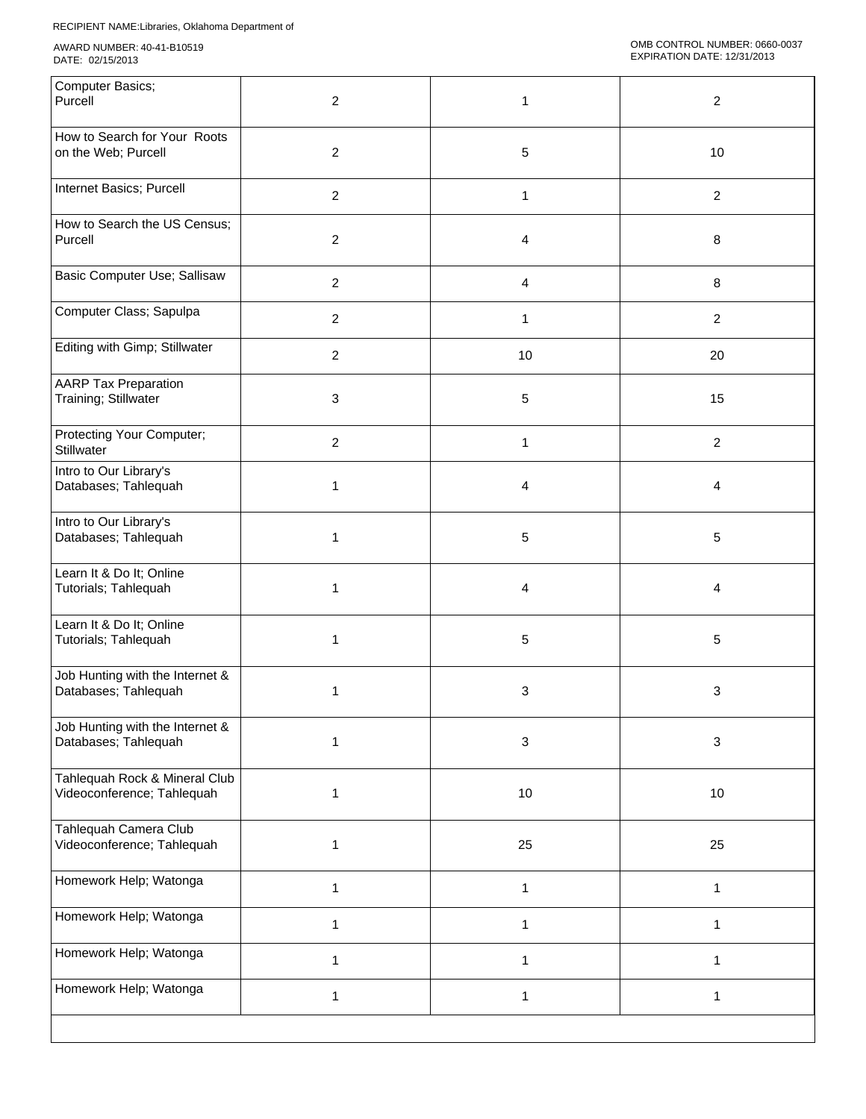| Computer Basics;<br>Purcell                                 | $\overline{c}$ | 1            | 2              |
|-------------------------------------------------------------|----------------|--------------|----------------|
| How to Search for Your Roots<br>on the Web; Purcell         | $\overline{c}$ | 5            | 10             |
| Internet Basics; Purcell                                    | $\overline{2}$ | $\mathbf{1}$ | $\overline{2}$ |
| How to Search the US Census;<br>Purcell                     | $\overline{2}$ | 4            | 8              |
| Basic Computer Use; Sallisaw                                | $\overline{2}$ | 4            | $\bf 8$        |
| Computer Class; Sapulpa                                     | $\overline{2}$ | 1            | $\overline{2}$ |
| Editing with Gimp; Stillwater                               | $\overline{2}$ | 10           | 20             |
| <b>AARP Tax Preparation</b><br>Training; Stillwater         | 3              | 5            | 15             |
| Protecting Your Computer;<br>Stillwater                     | $\overline{2}$ | 1            | $\overline{2}$ |
| Intro to Our Library's<br>Databases; Tahlequah              | 1              | 4            | 4              |
| Intro to Our Library's<br>Databases; Tahlequah              | 1              | 5            | 5              |
| Learn It & Do It; Online<br>Tutorials; Tahlequah            | 1              | 4            | 4              |
| Learn It & Do It; Online<br>Tutorials; Tahlequah            | 1              | 5            | 5              |
| Job Hunting with the Internet &<br>Databases; Tahlequah     | 1              | 3            | 3              |
| Job Hunting with the Internet &<br>Databases; Tahlequah     | 1              | 3            | $\mathbf{3}$   |
| Tahlequah Rock & Mineral Club<br>Videoconference; Tahlequah | $\mathbf{1}$   | 10           | 10             |
| Tahlequah Camera Club<br>Videoconference; Tahlequah         | 1              | 25           | 25             |
| Homework Help; Watonga                                      | $\mathbf{1}$   | $\mathbf{1}$ | $\mathbf{1}$   |
| Homework Help; Watonga                                      | 1              | 1            | $\mathbf{1}$   |
| Homework Help; Watonga                                      | 1              | 1            | $\mathbf 1$    |
| Homework Help; Watonga                                      | 1              | $\mathbf{1}$ | $\mathbf{1}$   |
|                                                             |                |              |                |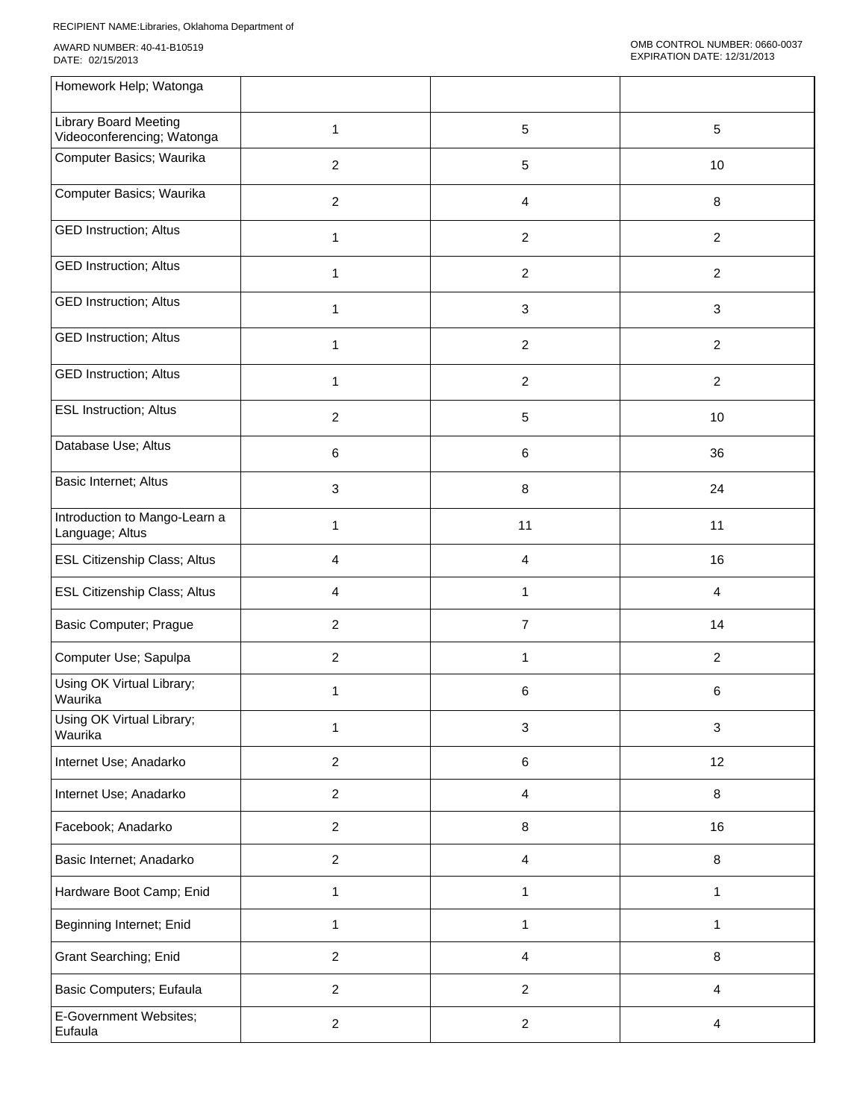| Homework Help; Watonga                                     |                |                |                |
|------------------------------------------------------------|----------------|----------------|----------------|
| <b>Library Board Meeting</b><br>Videoconferencing; Watonga | 1              | 5              | $\sqrt{5}$     |
| Computer Basics; Waurika                                   | $\overline{2}$ | 5              | 10             |
| Computer Basics; Waurika                                   | $\overline{2}$ | 4              | 8              |
| <b>GED Instruction; Altus</b>                              | 1              | 2              | $\overline{2}$ |
| <b>GED Instruction; Altus</b>                              | 1              | $\overline{c}$ | $\overline{c}$ |
| <b>GED Instruction; Altus</b>                              | 1              | 3              | $\mathbf{3}$   |
| <b>GED Instruction; Altus</b>                              | $\mathbf{1}$   | $\overline{c}$ | $\overline{2}$ |
| <b>GED Instruction; Altus</b>                              | 1              | $\overline{c}$ | $\overline{2}$ |
| <b>ESL Instruction; Altus</b>                              | $\overline{2}$ | 5              | 10             |
| Database Use; Altus                                        | 6              | 6              | 36             |
| Basic Internet; Altus                                      | 3              | 8              | 24             |
| Introduction to Mango-Learn a<br>Language; Altus           | 1              | 11             | 11             |
| ESL Citizenship Class; Altus                               | 4              | 4              | 16             |
| ESL Citizenship Class; Altus                               | $\overline{4}$ | $\mathbf{1}$   | $\overline{4}$ |
| Basic Computer; Prague                                     | $\overline{2}$ | $\overline{7}$ | 14             |
| Computer Use; Sapulpa                                      | $\overline{2}$ | 1              | $\overline{c}$ |
| Using OK Virtual Library;<br>Waurika                       | 1              | 6              | 6              |
| Using OK Virtual Library;<br>Waurika                       | $\mathbf{1}$   | $\sqrt{3}$     | $\mathbf{3}$   |
| Internet Use; Anadarko                                     | $\overline{2}$ | 6              | 12             |
| Internet Use; Anadarko                                     | $\overline{2}$ | 4              | $\bf 8$        |
| Facebook; Anadarko                                         | $\overline{a}$ | 8              | 16             |
| Basic Internet; Anadarko                                   | $\overline{c}$ | 4              | 8              |
| Hardware Boot Camp; Enid                                   | 1              | 1              | 1              |
| Beginning Internet; Enid                                   | 1              | $\mathbf{1}$   | 1              |
| Grant Searching; Enid                                      | $\overline{2}$ | 4              | 8              |
| Basic Computers; Eufaula                                   | $\overline{2}$ | $\overline{2}$ | $\overline{4}$ |
| E-Government Websites;<br>Eufaula                          | $\overline{2}$ | $\overline{2}$ | 4              |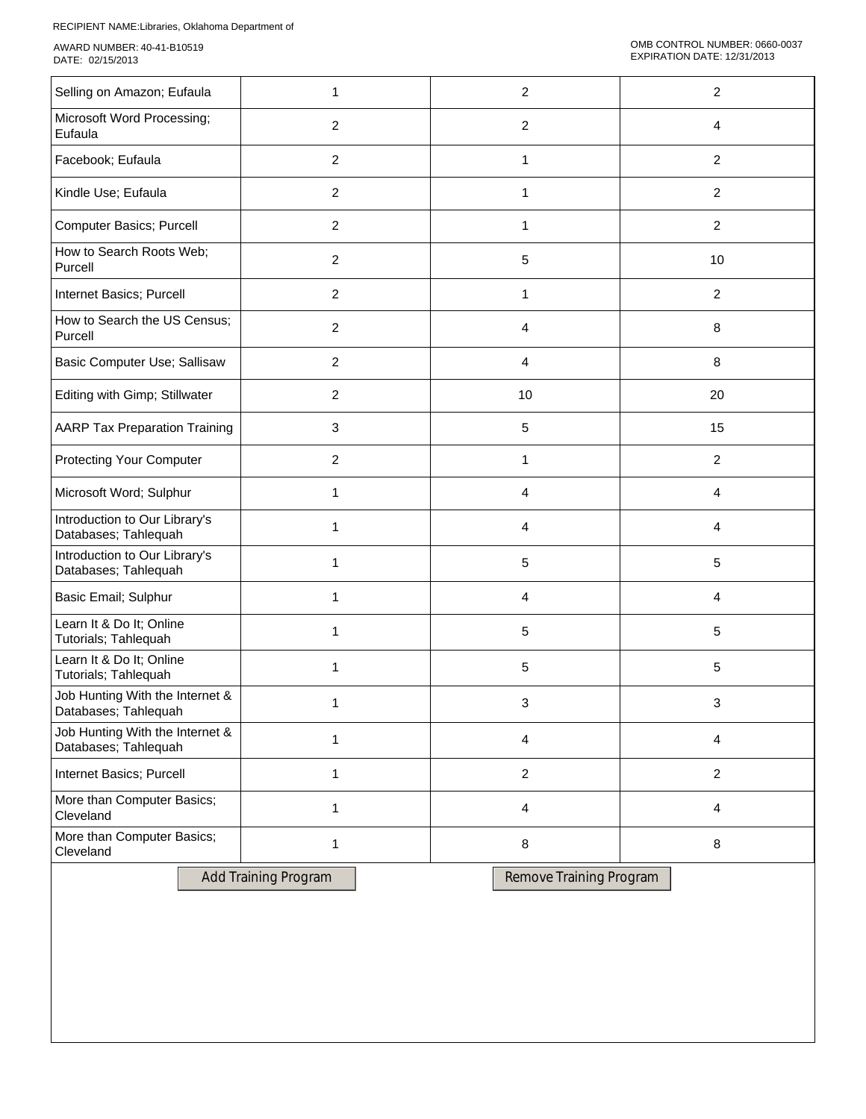| Selling on Amazon; Eufaula                              | 1                           |  |            | $\overline{2}$          |  | $\overline{c}$          |  |
|---------------------------------------------------------|-----------------------------|--|------------|-------------------------|--|-------------------------|--|
| Microsoft Word Processing;<br>Eufaula                   | $\overline{2}$              |  | $\sqrt{2}$ |                         |  | 4                       |  |
| Facebook; Eufaula                                       | $\overline{2}$              |  |            | 1                       |  | $\overline{c}$          |  |
| Kindle Use; Eufaula                                     | $\overline{2}$              |  |            | 1                       |  | $\overline{c}$          |  |
| Computer Basics; Purcell                                | $\overline{2}$              |  |            | 1                       |  | $\overline{2}$          |  |
| How to Search Roots Web;<br>Purcell                     | $\overline{2}$              |  |            | $\sqrt{5}$              |  | 10                      |  |
| Internet Basics; Purcell                                | $\overline{2}$              |  |            | 1                       |  | $\overline{2}$          |  |
| How to Search the US Census;<br>Purcell                 | $\overline{2}$              |  |            | $\overline{a}$          |  | 8                       |  |
| Basic Computer Use; Sallisaw                            | $\overline{2}$              |  |            | $\overline{a}$          |  | 8                       |  |
| Editing with Gimp; Stillwater                           | $\overline{2}$              |  |            | 10                      |  | 20                      |  |
| <b>AARP Tax Preparation Training</b>                    | 3                           |  |            | $\sqrt{5}$              |  | 15                      |  |
| <b>Protecting Your Computer</b>                         | $\overline{2}$              |  | 1          |                         |  | $\overline{c}$          |  |
| Microsoft Word; Sulphur                                 | 1                           |  | 4          |                         |  | $\overline{\mathbf{4}}$ |  |
| Introduction to Our Library's<br>Databases; Tahlequah   | 1                           |  | 4          |                         |  | 4                       |  |
| Introduction to Our Library's<br>Databases; Tahlequah   | 1                           |  |            | $\sqrt{5}$              |  | 5                       |  |
| Basic Email; Sulphur                                    | 1                           |  |            | $\overline{a}$          |  | 4                       |  |
| Learn It & Do It; Online<br>Tutorials; Tahlequah        | 1                           |  |            | $\sqrt{5}$              |  | 5                       |  |
| Learn It & Do It; Online<br>Tutorials; Tahlequah        | 1                           |  |            | 5                       |  | 5                       |  |
| Job Hunting With the Internet &<br>Databases; Tahlequah | 1                           |  |            | 3                       |  | 3                       |  |
| Job Hunting With the Internet &<br>Databases; Tahlequah | 1                           |  |            | 4                       |  | 4                       |  |
| Internet Basics; Purcell                                | 1                           |  |            | $\sqrt{2}$              |  | $\overline{c}$          |  |
| More than Computer Basics;<br>Cleveland                 | 1                           |  |            | $\overline{a}$          |  | 4                       |  |
| More than Computer Basics;<br>Cleveland                 | 1                           |  |            | 8                       |  | 8                       |  |
|                                                         | <b>Add Training Program</b> |  |            | Remove Training Program |  |                         |  |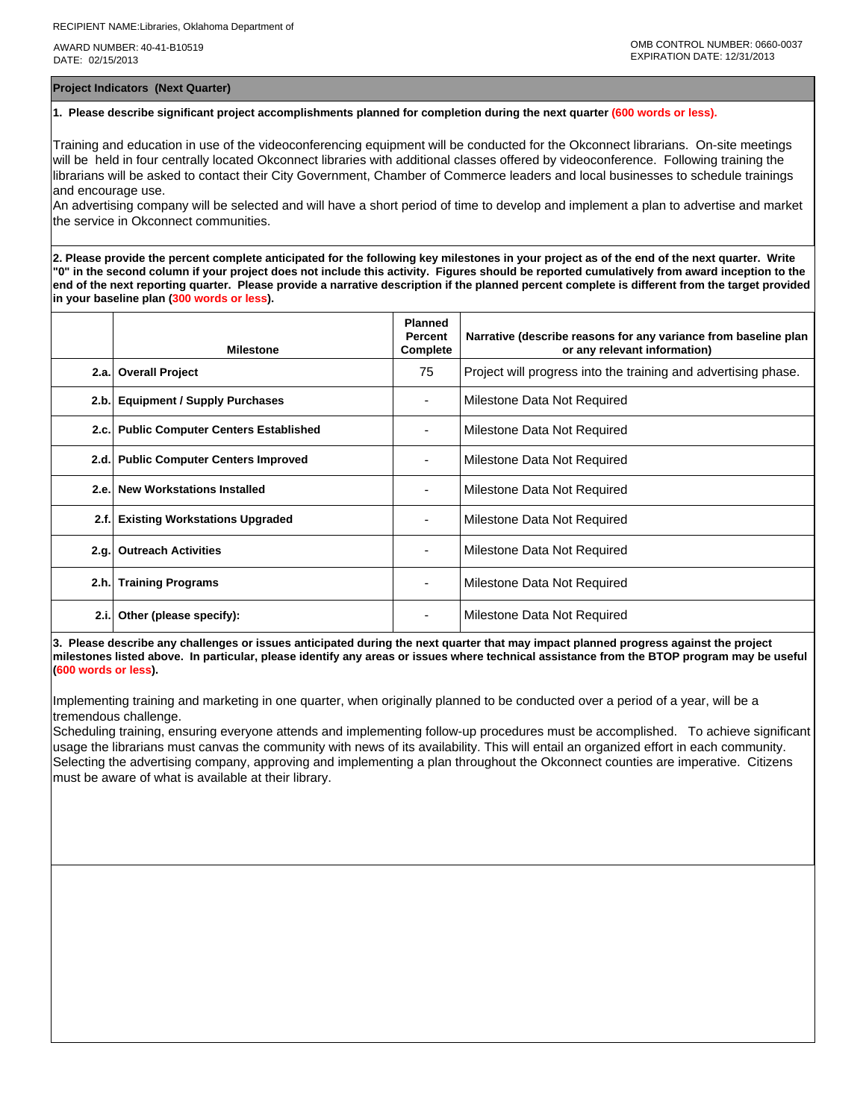**Project Indicators (Next Quarter)**

## **1. Please describe significant project accomplishments planned for completion during the next quarter (600 words or less).**

Training and education in use of the videoconferencing equipment will be conducted for the Okconnect librarians. On-site meetings will be held in four centrally located Okconnect libraries with additional classes offered by videoconference. Following training the librarians will be asked to contact their City Government, Chamber of Commerce leaders and local businesses to schedule trainings and encourage use.

An advertising company will be selected and will have a short period of time to develop and implement a plan to advertise and market the service in Okconnect communities.

**2. Please provide the percent complete anticipated for the following key milestones in your project as of the end of the next quarter. Write "0" in the second column if your project does not include this activity. Figures should be reported cumulatively from award inception to the end of the next reporting quarter. Please provide a narrative description if the planned percent complete is different from the target provided in your baseline plan (300 words or less).**

|      | <b>Milestone</b>                         | <b>Planned</b><br>Percent<br>Complete | Narrative (describe reasons for any variance from baseline plan<br>or any relevant information) |
|------|------------------------------------------|---------------------------------------|-------------------------------------------------------------------------------------------------|
|      | 2.a. Overall Project                     | 75                                    | Project will progress into the training and advertising phase.                                  |
| 2.b. | <b>Equipment / Supply Purchases</b>      |                                       | Milestone Data Not Required                                                                     |
|      | 2.c. Public Computer Centers Established |                                       | Milestone Data Not Required                                                                     |
|      | 2.d. Public Computer Centers Improved    |                                       | Milestone Data Not Required                                                                     |
|      | 2.e. New Workstations Installed          | -                                     | Milestone Data Not Required                                                                     |
| 2.f. | <b>Existing Workstations Upgraded</b>    |                                       | Milestone Data Not Required                                                                     |
| 2.q. | <b>Outreach Activities</b>               |                                       | Milestone Data Not Required                                                                     |
|      | 2.h. Training Programs                   | ۰                                     | Milestone Data Not Required                                                                     |
| 2.i. | Other (please specify):                  |                                       | Milestone Data Not Required                                                                     |

**3. Please describe any challenges or issues anticipated during the next quarter that may impact planned progress against the project milestones listed above. In particular, please identify any areas or issues where technical assistance from the BTOP program may be useful (600 words or less).**

Implementing training and marketing in one quarter, when originally planned to be conducted over a period of a year, will be a tremendous challenge.

Scheduling training, ensuring everyone attends and implementing follow-up procedures must be accomplished. To achieve significant usage the librarians must canvas the community with news of its availability. This will entail an organized effort in each community. Selecting the advertising company, approving and implementing a plan throughout the Okconnect counties are imperative. Citizens must be aware of what is available at their library.